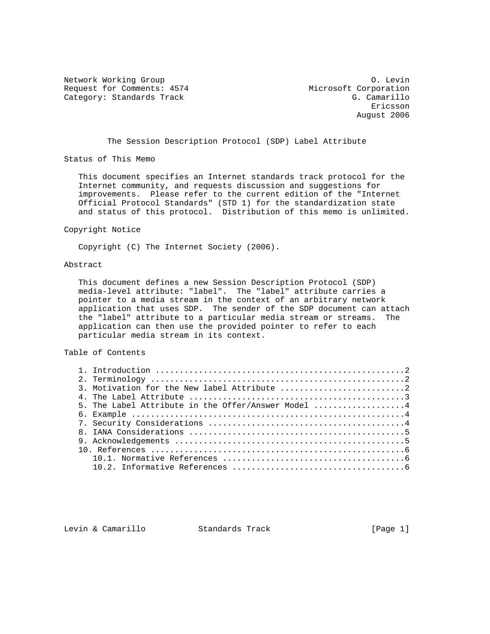Network Working Group Communication of the United States of the United States of the O. Levin Request for Comments: 4574 Microsoft Corporation Category: Standards Track G. Camarillo

eric and the contract of the contract of the contract of the contract of the contract of the contract of the contract of the contract of the contract of the contract of the contract of the contract of the contract of the c August 2006

The Session Description Protocol (SDP) Label Attribute

Status of This Memo

 This document specifies an Internet standards track protocol for the Internet community, and requests discussion and suggestions for improvements. Please refer to the current edition of the "Internet Official Protocol Standards" (STD 1) for the standardization state and status of this protocol. Distribution of this memo is unlimited.

#### Copyright Notice

Copyright (C) The Internet Society (2006).

### Abstract

 This document defines a new Session Description Protocol (SDP) media-level attribute: "label". The "label" attribute carries a pointer to a media stream in the context of an arbitrary network application that uses SDP. The sender of the SDP document can attach the "label" attribute to a particular media stream or streams. The application can then use the provided pointer to refer to each particular media stream in its context.

### Table of Contents

| 5. The Label Attribute in the Offer/Answer Model 4 |  |
|----------------------------------------------------|--|
|                                                    |  |
|                                                    |  |
|                                                    |  |
|                                                    |  |
|                                                    |  |
|                                                    |  |
|                                                    |  |

Levin & Camarillo Standards Track [Page 1]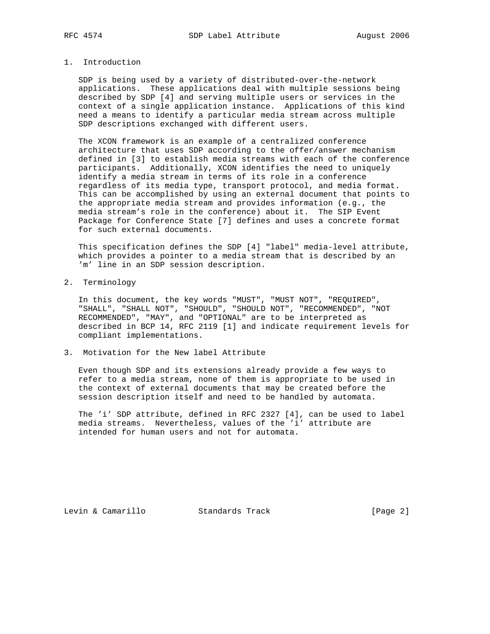## 1. Introduction

 SDP is being used by a variety of distributed-over-the-network applications. These applications deal with multiple sessions being described by SDP [4] and serving multiple users or services in the context of a single application instance. Applications of this kind need a means to identify a particular media stream across multiple SDP descriptions exchanged with different users.

 The XCON framework is an example of a centralized conference architecture that uses SDP according to the offer/answer mechanism defined in [3] to establish media streams with each of the conference participants. Additionally, XCON identifies the need to uniquely identify a media stream in terms of its role in a conference regardless of its media type, transport protocol, and media format. This can be accomplished by using an external document that points to the appropriate media stream and provides information (e.g., the media stream's role in the conference) about it. The SIP Event Package for Conference State [7] defines and uses a concrete format for such external documents.

 This specification defines the SDP [4] "label" media-level attribute, which provides a pointer to a media stream that is described by an 'm' line in an SDP session description.

2. Terminology

 In this document, the key words "MUST", "MUST NOT", "REQUIRED", "SHALL", "SHALL NOT", "SHOULD", "SHOULD NOT", "RECOMMENDED", "NOT RECOMMENDED", "MAY", and "OPTIONAL" are to be interpreted as described in BCP 14, RFC 2119 [1] and indicate requirement levels for compliant implementations.

3. Motivation for the New label Attribute

 Even though SDP and its extensions already provide a few ways to refer to a media stream, none of them is appropriate to be used in the context of external documents that may be created before the session description itself and need to be handled by automata.

 The 'i' SDP attribute, defined in RFC 2327 [4], can be used to label media streams. Nevertheless, values of the 'i' attribute are intended for human users and not for automata.

Levin & Camarillo Standards Track [Page 2]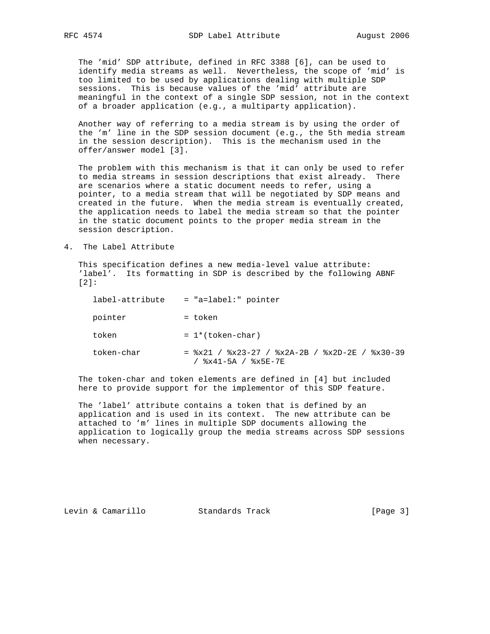The 'mid' SDP attribute, defined in RFC 3388 [6], can be used to identify media streams as well. Nevertheless, the scope of 'mid' is too limited to be used by applications dealing with multiple SDP sessions. This is because values of the 'mid' attribute are meaningful in the context of a single SDP session, not in the context of a broader application (e.g., a multiparty application).

 Another way of referring to a media stream is by using the order of the 'm' line in the SDP session document (e.g., the 5th media stream in the session description). This is the mechanism used in the offer/answer model [3].

 The problem with this mechanism is that it can only be used to refer to media streams in session descriptions that exist already. There are scenarios where a static document needs to refer, using a pointer, to a media stream that will be negotiated by SDP means and created in the future. When the media stream is eventually created, the application needs to label the media stream so that the pointer in the static document points to the proper media stream in the session description.

4. The Label Attribute

 This specification defines a new media-level value attribute: 'label'. Its formatting in SDP is described by the following ABNF [2]:

| label-attribute | $=$ "a=label:" pointer                                                       |
|-----------------|------------------------------------------------------------------------------|
| pointer         | = token                                                                      |
| token           | $= 1*(token-char)$                                                           |
| token-char      | $=$ \$x21 / \$x23-27 / \$x2A-2B / \$x2D-2E / \$x30-39<br>/ %x41-5A / %x5E-7E |

 The token-char and token elements are defined in [4] but included here to provide support for the implementor of this SDP feature.

 The 'label' attribute contains a token that is defined by an application and is used in its context. The new attribute can be attached to 'm' lines in multiple SDP documents allowing the application to logically group the media streams across SDP sessions when necessary.

Levin & Camarillo Standards Track [Page 3]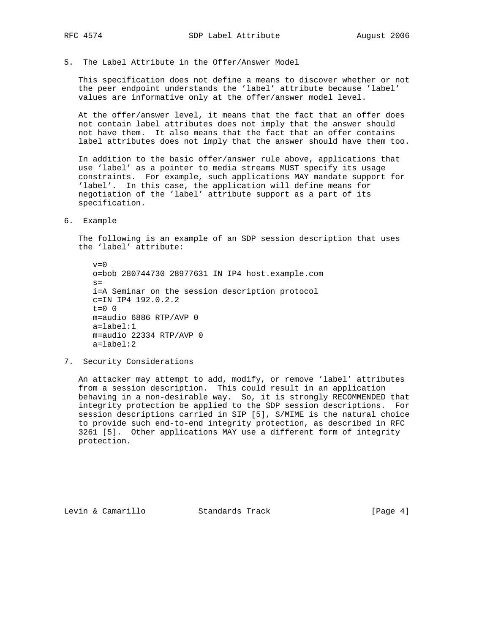5. The Label Attribute in the Offer/Answer Model

 This specification does not define a means to discover whether or not the peer endpoint understands the 'label' attribute because 'label' values are informative only at the offer/answer model level.

 At the offer/answer level, it means that the fact that an offer does not contain label attributes does not imply that the answer should not have them. It also means that the fact that an offer contains label attributes does not imply that the answer should have them too.

 In addition to the basic offer/answer rule above, applications that use 'label' as a pointer to media streams MUST specify its usage constraints. For example, such applications MAY mandate support for 'label'. In this case, the application will define means for negotiation of the 'label' attribute support as a part of its specification.

6. Example

 The following is an example of an SDP session description that uses the 'label' attribute:

 $v=0$  o=bob 280744730 28977631 IN IP4 host.example.com  $s=$  i=A Seminar on the session description protocol c=IN IP4 192.0.2.2  $t=0$  0 m=audio 6886 RTP/AVP 0 a=label:1 m=audio 22334 RTP/AVP 0 a=label:2

7. Security Considerations

 An attacker may attempt to add, modify, or remove 'label' attributes from a session description. This could result in an application behaving in a non-desirable way. So, it is strongly RECOMMENDED that integrity protection be applied to the SDP session descriptions. For session descriptions carried in SIP [5], S/MIME is the natural choice to provide such end-to-end integrity protection, as described in RFC 3261 [5]. Other applications MAY use a different form of integrity protection.

Levin & Camarillo Standards Track [Page 4]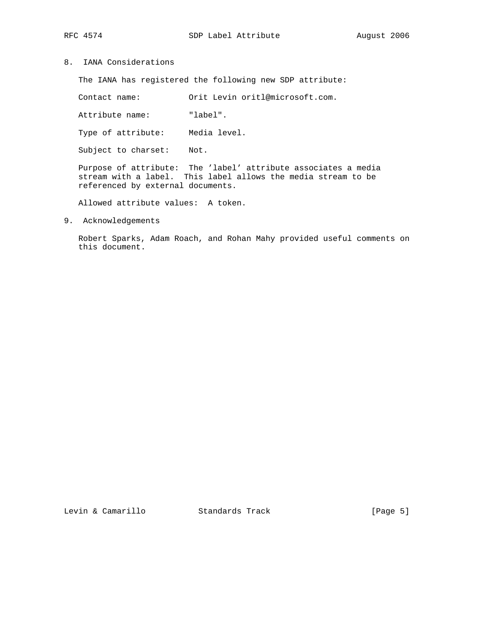8. IANA Considerations

The IANA has registered the following new SDP attribute:

Contact name: Orit Levin oritl@microsoft.com.

Attribute name: "label".

Type of attribute: Media level.

Subject to charset: Not.

 Purpose of attribute: The 'label' attribute associates a media stream with a label. This label allows the media stream to be referenced by external documents.

Allowed attribute values: A token.

9. Acknowledgements

 Robert Sparks, Adam Roach, and Rohan Mahy provided useful comments on this document.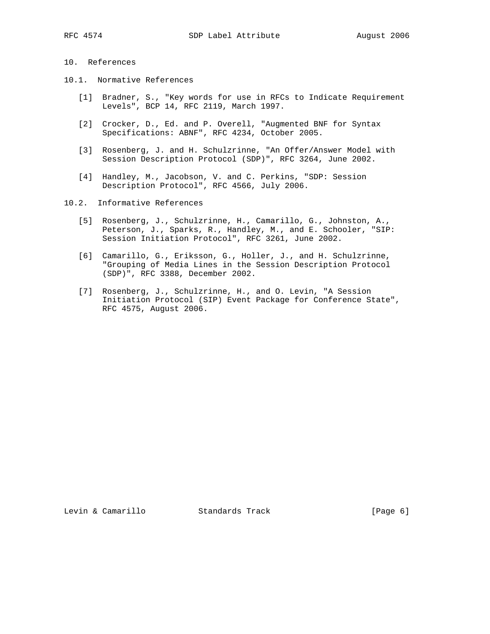# 10. References

- 10.1. Normative References
	- [1] Bradner, S., "Key words for use in RFCs to Indicate Requirement Levels", BCP 14, RFC 2119, March 1997.
	- [2] Crocker, D., Ed. and P. Overell, "Augmented BNF for Syntax Specifications: ABNF", RFC 4234, October 2005.
	- [3] Rosenberg, J. and H. Schulzrinne, "An Offer/Answer Model with Session Description Protocol (SDP)", RFC 3264, June 2002.
- [4] Handley, M., Jacobson, V. and C. Perkins, "SDP: Session Description Protocol", RFC 4566, July 2006.

10.2. Informative References

- [5] Rosenberg, J., Schulzrinne, H., Camarillo, G., Johnston, A., Peterson, J., Sparks, R., Handley, M., and E. Schooler, "SIP: Session Initiation Protocol", RFC 3261, June 2002.
- [6] Camarillo, G., Eriksson, G., Holler, J., and H. Schulzrinne, "Grouping of Media Lines in the Session Description Protocol (SDP)", RFC 3388, December 2002.
- [7] Rosenberg, J., Schulzrinne, H., and O. Levin, "A Session Initiation Protocol (SIP) Event Package for Conference State", RFC 4575, August 2006.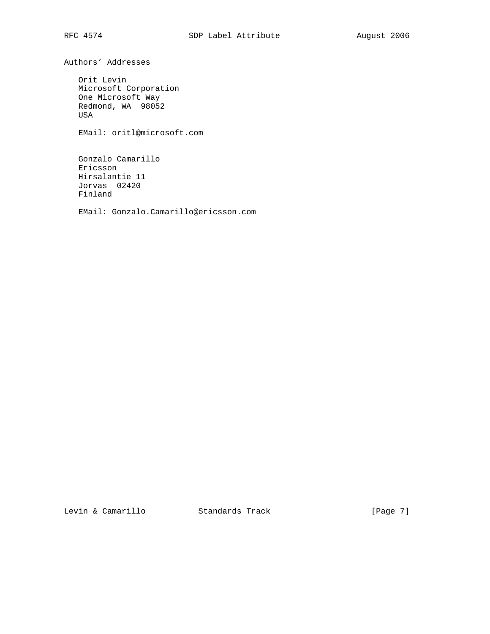Authors' Addresses

 Orit Levin Microsoft Corporation One Microsoft Way Redmond, WA 98052 USA

EMail: oritl@microsoft.com

 Gonzalo Camarillo Ericsson Hirsalantie 11 Jorvas 02420 Finland

EMail: Gonzalo.Camarillo@ericsson.com